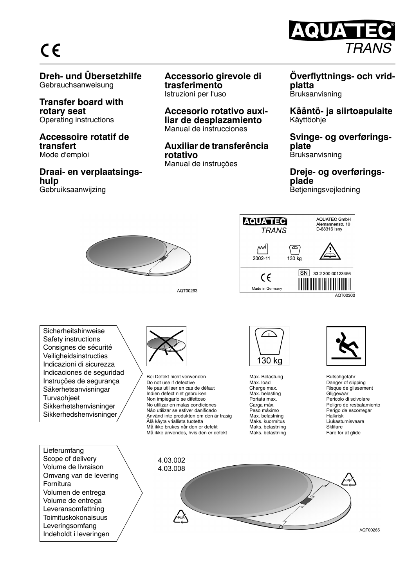# $C \in$

## **Dreh- und Übersetzhilfe** Gebrauchsanweisung

**Transfer board with rotary seat** Operating instructions

#### **Accessoire rotatif de transfert** Mode d'emploi

**Draai- en verplaatsingshulp** Gebruiksaanwijzing

### **Accessorio girevole di trasferimento** Istruzioni per l'uso

**Accesorio rotativo auxiliar de desplazamiento** Manual de instrucciones

## **Auxiliar de transferência rotativo**

Manual de instruções

#### **Överflyttnings- och vridplatta** Bruksanvisning

QUATE

 *TRANS*

**Kääntö- ja siirtoapulaite** Käyttöohje

#### **Svinge- og overføringsplate** Bruksanvisning

#### **Dreje- og overføringsplade** Betjeningsvejledning



AQT00263



Sicherheitshinweise Safety instructions Consignes de sécurité Veiligheidsinstructies Indicazioni di sicurezza Indicaciones de seguridad Instruções de segurança Säkerhetsanvisningar **Turvaohieet** Sikkerhetshenvisninger Sikkerhedshenvisninger

Lieferumfang Scope of delivery Volume de livraison Omvang van de levering Fornitura Volumen de entrega Volume de entrega Leveransomfattning Toimituskokonaisuus Leveringsomfang Indeholdt i leveringen



Bei Defekt nicht verwenden Do not use if defective Ne pas utiliser en cas de défaut Indien defect niet gebruiken Non impiegarlo se difettoso No utilizar en malas condiciones Não utilizar se estiver danificado Använd inte produkten om den är trasig Älä käyta vriallista tuotetta Må ikke brukes når den er defekt Må ikke anvendes, hvis den er defekt



Max. Belastung Max. load Charge max. Max. belasting Portata max. Carga máx. Peso máximo Max. belastning Maks. kuormitus Maks. belastning Maks. belastning



Rutschgefahr Danger of slipping Risque de glissement Glijgevaar Pericolo di scivolare Peligro de resbalamiento Perigo de escorregar Halkrisk Liukastumisvaara **Sklifare** Fare for at glide



AQT00265